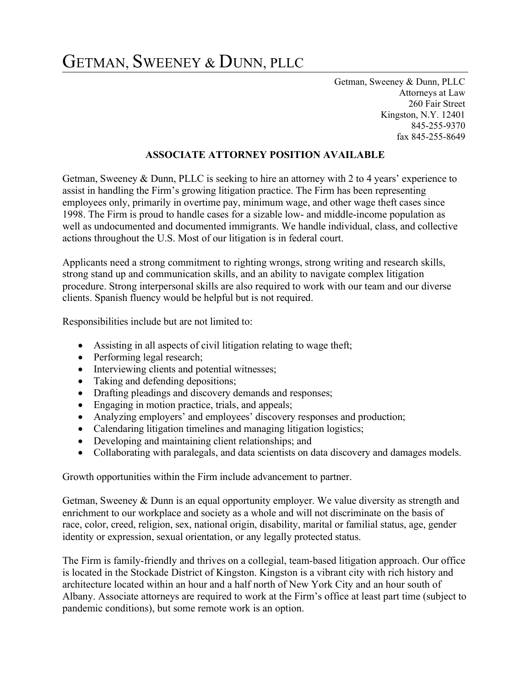## GETMAN, SWEENEY & DUNN, PLLC

Getman, Sweeney & Dunn, PLLC Attorneys at Law 260 Fair Street Kingston, N.Y. 12401 845-255-9370 fax 845-255-8649

## ASSOCIATE ATTORNEY POSITION AVAILABLE

Getman, Sweeney & Dunn, PLLC is seeking to hire an attorney with 2 to 4 years' experience to assist in handling the Firm's growing litigation practice. The Firm has been representing employees only, primarily in overtime pay, minimum wage, and other wage theft cases since 1998. The Firm is proud to handle cases for a sizable low- and middle-income population as well as undocumented and documented immigrants. We handle individual, class, and collective actions throughout the U.S. Most of our litigation is in federal court.

Applicants need a strong commitment to righting wrongs, strong writing and research skills, strong stand up and communication skills, and an ability to navigate complex litigation procedure. Strong interpersonal skills are also required to work with our team and our diverse clients. Spanish fluency would be helpful but is not required.

Responsibilities include but are not limited to:

- Assisting in all aspects of civil litigation relating to wage theft;
- Performing legal research;
- Interviewing clients and potential witnesses;
- Taking and defending depositions;
- Drafting pleadings and discovery demands and responses;
- Engaging in motion practice, trials, and appeals;
- Analyzing employers' and employees' discovery responses and production;
- Calendaring litigation timelines and managing litigation logistics;
- Developing and maintaining client relationships; and
- Collaborating with paralegals, and data scientists on data discovery and damages models.

Growth opportunities within the Firm include advancement to partner.

Getman, Sweeney & Dunn is an equal opportunity employer. We value diversity as strength and enrichment to our workplace and society as a whole and will not discriminate on the basis of race, color, creed, religion, sex, national origin, disability, marital or familial status, age, gender identity or expression, sexual orientation, or any legally protected status.

The Firm is family-friendly and thrives on a collegial, team-based litigation approach. Our office is located in the Stockade District of Kingston. Kingston is a vibrant city with rich history and architecture located within an hour and a half north of New York City and an hour south of Albany. Associate attorneys are required to work at the Firm's office at least part time (subject to pandemic conditions), but some remote work is an option.